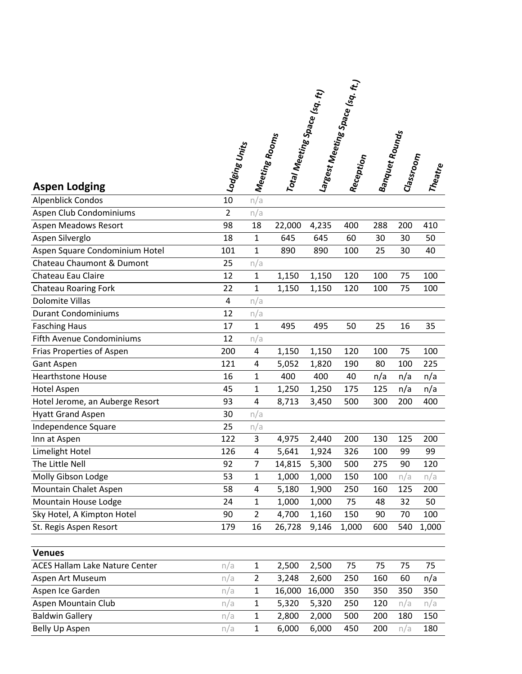|                                       |                                   |                           |                              |        | $ L$ argest Meeting Spa $_{\rm Ce}$ (sq, $_{\rm ft,j}$ |                    |           |              |
|---------------------------------------|-----------------------------------|---------------------------|------------------------------|--------|--------------------------------------------------------|--------------------|-----------|--------------|
|                                       |                                   |                           | Total Meeting Space (sq. ft) |        |                                                        |                    |           |              |
|                                       |                                   |                           |                              |        |                                                        |                    |           |              |
|                                       |                                   |                           |                              |        |                                                        |                    |           |              |
|                                       | $ \ddot{\circ} ^{l}$ odging Units | Meeting Roo <sub>ms</sub> |                              |        |                                                        | Banquet Rounds<br> |           |              |
|                                       |                                   |                           |                              |        | ${}^{\mid \mathsf{Re}}$ Ception                        |                    | Classroom |              |
|                                       |                                   |                           |                              |        |                                                        |                    |           |              |
| <b>Aspen Lodging</b>                  |                                   |                           |                              |        |                                                        |                    |           | $M_{\rm{P}}$ |
| <b>Alpenblick Condos</b>              |                                   | n/a                       |                              |        |                                                        |                    |           |              |
| Aspen Club Condominiums               | $\overline{2}$                    | n/a                       |                              |        |                                                        |                    |           |              |
| Aspen Meadows Resort                  | 98                                | 18                        | 22,000                       | 4,235  | 400                                                    | 288                | 200       | 410          |
| Aspen Silverglo                       | 18                                | $\mathbf{1}$              | 645                          | 645    | 60                                                     | 30                 | 30        | 50           |
| Aspen Square Condominium Hotel        | 101                               | $\mathbf{1}$              | 890                          | 890    | 100                                                    | 25                 | 30        | 40           |
| Chateau Chaumont & Dumont             | 25                                | n/a                       |                              |        |                                                        |                    |           |              |
| Chateau Eau Claire                    | 12                                | $\mathbf{1}$              | 1,150                        | 1,150  | 120                                                    | 100                | 75        | 100          |
| <b>Chateau Roaring Fork</b>           | 22                                | $\mathbf{1}$              | 1,150                        | 1,150  | 120                                                    | 100                | 75        | 100          |
| Dolomite Villas                       | 4                                 | n/a                       |                              |        |                                                        |                    |           |              |
| <b>Durant Condominiums</b>            | 12                                | n/a                       |                              |        |                                                        |                    |           |              |
| <b>Fasching Haus</b>                  | 17                                | $\mathbf{1}$              | 495                          | 495    | 50                                                     | 25                 | 16        | 35           |
| <b>Fifth Avenue Condominiums</b>      | 12                                | n/a                       |                              |        |                                                        |                    |           |              |
| Frias Properties of Aspen             | 200                               | $\pmb{4}$                 | 1,150                        | 1,150  | 120                                                    | 100                | 75        | 100          |
| Gant Aspen                            | 121                               | 4                         | 5,052                        | 1,820  | 190                                                    | 80                 | 100       | 225          |
| <b>Hearthstone House</b>              | 16                                | $\mathbf{1}$              | 400                          | 400    | 40                                                     | n/a                | n/a       | n/a          |
| Hotel Aspen                           | 45                                | $\mathbf{1}$              | 1,250                        | 1,250  | 175                                                    | 125                | n/a       | n/a          |
| Hotel Jerome, an Auberge Resort       | 93                                | $\overline{4}$            | 8,713                        | 3,450  | 500                                                    | 300                | 200       | 400          |
| <b>Hyatt Grand Aspen</b>              | 30                                | n/a                       |                              |        |                                                        |                    |           |              |
| Independence Square                   | 25                                | n/a                       |                              |        |                                                        |                    |           |              |
| Inn at Aspen                          | 122                               | 3                         | 4,975                        | 2,440  | 200                                                    | 130                | 125       | 200          |
| Limelight Hotel                       | 126                               | 4                         | 5,641                        | 1,924  | 326                                                    | 100                | 99        | 99           |
| The Little Nell                       | 92                                | 7                         | 14,815                       | 5,300  | 500                                                    | 275                | 90        | 120          |
| Molly Gibson Lodge                    | 53                                | 1                         | 1,000                        | 1,000  | 150                                                    | 100                | n/a       | n/a          |
| Mountain Chalet Aspen                 | 58                                | $\overline{\mathbf{4}}$   | 5,180                        | 1,900  | 250                                                    | 160                | 125       | 200          |
| Mountain House Lodge                  | 24                                | $\mathbf{1}$              | 1,000                        | 1,000  | 75                                                     | 48                 | 32        | 50           |
| Sky Hotel, A Kimpton Hotel            | 90                                | $\overline{2}$            | 4,700                        | 1,160  | 150                                                    | 90                 | 70        | 100          |
| St. Regis Aspen Resort                | 179                               | 16                        | 26,728                       | 9,146  | 1,000                                                  | 600                | 540       | 1,000        |
|                                       |                                   |                           |                              |        |                                                        |                    |           |              |
| <b>Venues</b>                         |                                   |                           |                              |        |                                                        |                    |           |              |
| <b>ACES Hallam Lake Nature Center</b> | n/a                               | $\mathbf{1}$              | 2,500                        | 2,500  | 75                                                     | 75                 | 75        | 75           |
| Aspen Art Museum                      | n/a                               | $\overline{2}$            | 3,248                        | 2,600  | 250                                                    | 160                | 60        | n/a          |
| Aspen Ice Garden                      | n/a                               | $\mathbf{1}$              | 16,000                       | 16,000 | 350                                                    | 350                | 350       | 350          |
| Aspen Mountain Club                   | n/a                               | $\mathbf{1}$              | 5,320                        | 5,320  | 250                                                    | 120                | n/a       | n/a          |
| <b>Baldwin Gallery</b>                | n/a                               | $\mathbf{1}$              | 2,800                        | 2,000  | 500                                                    | 200                | 180       | 150          |
| Belly Up Aspen                        | n/a                               | $\mathbf 1$               | 6,000                        | 6,000  | 450                                                    | 200                | n/a       | 180          |